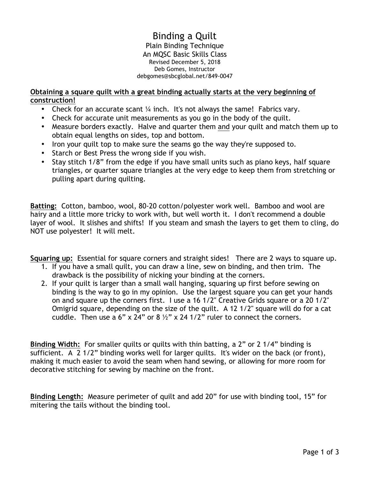#### Binding a Quilt Plain Binding Technique An MQSC Basic Skills Class Revised December 5, 2018 Deb Gomes, Instructor debgomes@sbcglobal.net/849-0047

#### **Obtaining a square quilt with a great binding actually starts at the very beginning of construction!**

- Check for an accurate scant  $\frac{1}{4}$  inch. It's not always the same! Fabrics vary.
- Check for accurate unit measurements as you go in the body of the quilt.
- Measure borders exactly. Halve and quarter them and your quilt and match them up to obtain equal lengths on sides, top and bottom.
- Iron your quilt top to make sure the seams go the way they're supposed to.
- Starch or Best Press the wrong side if you wish.
- Stay stitch 1/8" from the edge if you have small units such as piano keys, half square triangles, or quarter square triangles at the very edge to keep them from stretching or pulling apart during quilting.

**Batting:** Cotton, bamboo, wool, 80-20 cotton/polyester work well. Bamboo and wool are hairy and a little more tricky to work with, but well worth it. I don't recommend a double layer of wool. It slishes and shifts! If you steam and smash the layers to get them to cling, do NOT use polyester! It will melt.

**Squaring up:** Essential for square corners and straight sides! There are 2 ways to square up.

- 1. If you have a small quilt, you can draw a line, sew on binding, and then trim. The drawback is the possibility of nicking your binding at the corners.
- 2. If your quilt is larger than a small wall hanging, squaring up first before sewing on binding is the way to go in my opinion. Use the largest square you can get your hands on and square up the corners first. I use a 16 1/2" Creative Grids square or a 20 1/2" Omigrid square, depending on the size of the quilt. A 12 1/2" square will do for a cat cuddle. Then use a 6" x 24" or 8  $\frac{1}{2}$ " x 24 1/2" ruler to connect the corners.

**Binding Width:** For smaller quilts or quilts with thin batting, a 2" or 2 1/4" binding is sufficient. A 2 1/2" binding works well for larger quilts. It's wider on the back (or front), making it much easier to avoid the seam when hand sewing, or allowing for more room for decorative stitching for sewing by machine on the front.

**Binding Length:** Measure perimeter of quilt and add 20" for use with binding tool, 15" for mitering the tails without the binding tool.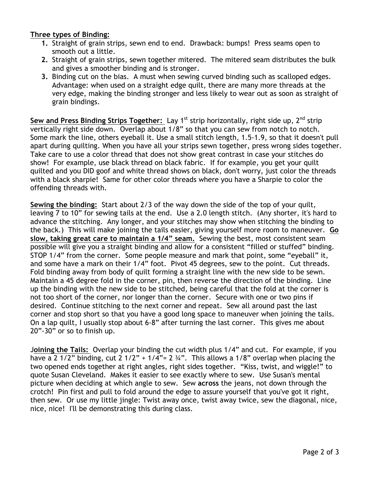# **Three types of Binding:**

- **1.** Straight of grain strips, sewn end to end. Drawback: bumps! Press seams open to smooth out a little.
- **2.** Straight of grain strips, sewn together mitered. The mitered seam distributes the bulk and gives a smoother binding and is stronger.
- **3.** Binding cut on the bias. A must when sewing curved binding such as scalloped edges. Advantage: when used on a straight edge quilt, there are many more threads at the very edge, making the binding stronger and less likely to wear out as soon as straight of grain bindings.

Sew and Press Binding Strips Together: Lay 1<sup>st</sup> strip horizontally, right side up, 2<sup>nd</sup> strip vertically right side down. Overlap about 1/8" so that you can sew from notch to notch. Some mark the line, others eyeball it. Use a small stitch length, 1.5-1.9, so that it doesn't pull apart during quilting. When you have all your strips sewn together, press wrong sides together. Take care to use a color thread that does not show great contrast in case your stitches do show! For example, use black thread on black fabric. If for example, you get your quilt quilted and you DID goof and white thread shows on black, don't worry, just color the threads with a black sharpie! Same for other color threads where you have a Sharpie to color the offending threads with.

**Sewing the binding:** Start about 2/3 of the way down the side of the top of your quilt, leaving 7 to 10" for sewing tails at the end. Use a 2.0 length stitch. (Any shorter, it's hard to advance the stitching. Any longer, and your stitches may show when stitching the binding to the back.) This will make joining the tails easier, giving yourself more room to maneuver. **Go slow, taking great care to maintain a 1/4" seam.** Sewing the best, most consistent seam possible will give you a straight binding and allow for a consistent "filled or stuffed" binding. STOP 1/4" from the corner. Some people measure and mark that point, some "eyeball" it, and some have a mark on their 1/4" foot. Pivot 45 degrees, sew to the point. Cut threads. Fold binding away from body of quilt forming a straight line with the new side to be sewn. Maintain a 45 degree fold in the corner, pin, then reverse the direction of the binding. Line up the binding with the new side to be stitched, being careful that the fold at the corner is not too short of the corner, nor longer than the corner. Secure with one or two pins if desired. Continue stitching to the next corner and repeat. Sew all around past the last corner and stop short so that you have a good long space to maneuver when joining the tails. On a lap quilt, I usually stop about 6-8" after turning the last corner. This gives me about 20"-30" or so to finish up.

J**oining the Tails:** Overlap your binding the cut width plus 1/4" and cut. For example, if you have a 2 1/2" binding, cut 2 1/2" + 1/4"= 2  $\frac{3}{4}$ ". This allows a 1/8" overlap when placing the two opened ends together at right angles, right sides together. "Kiss, twist, and wiggle!" to quote Susan Cleveland. Makes it easier to see exactly where to sew. Use Susan's mental picture when deciding at which angle to sew. Sew **across** the jeans, not down through the crotch! Pin first and pull to fold around the edge to assure yourself that you've got it right, then sew. Or use my little jingle: Twist away once, twist away twice, sew the diagonal, nice, nice, nice! I'll be demonstrating this during class.